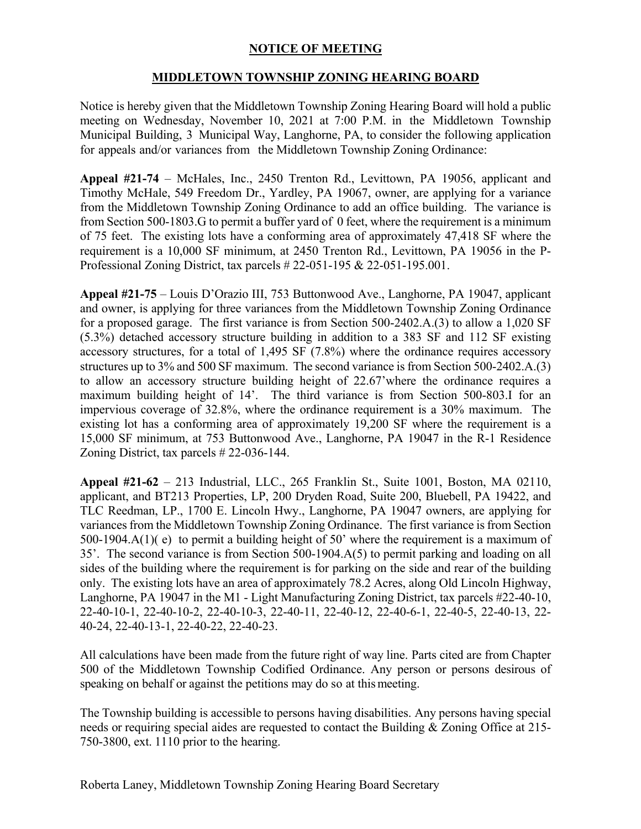## **NOTICE OF MEETING**

## **MIDDLETOWN TOWNSHIP ZONING HEARING BOARD**

Notice is hereby given that the Middletown Township Zoning Hearing Board will hold a public meeting on Wednesday, November 10, 2021 at 7:00 P.M. in the Middletown Township Municipal Building, 3 Municipal Way, Langhorne, PA, to consider the following application for appeals and/or variances from the Middletown Township Zoning Ordinance:

**Appeal #21-74** – McHales, Inc., 2450 Trenton Rd., Levittown, PA 19056, applicant and Timothy McHale, 549 Freedom Dr., Yardley, PA 19067, owner, are applying for a variance from the Middletown Township Zoning Ordinance to add an office building. The variance is from Section 500-1803.G to permit a buffer yard of 0 feet, where the requirement is a minimum of 75 feet. The existing lots have a conforming area of approximately 47,418 SF where the requirement is a 10,000 SF minimum, at 2450 Trenton Rd., Levittown, PA 19056 in the P-Professional Zoning District, tax parcels # 22-051-195 & 22-051-195.001.

**Appeal #21-75** – Louis D'Orazio III, 753 Buttonwood Ave., Langhorne, PA 19047, applicant and owner, is applying for three variances from the Middletown Township Zoning Ordinance for a proposed garage. The first variance is from Section 500-2402.A.(3) to allow a 1,020 SF (5.3%) detached accessory structure building in addition to a 383 SF and 112 SF existing accessory structures, for a total of 1,495 SF (7.8%) where the ordinance requires accessory structures up to 3% and 500 SF maximum. The second variance is from Section 500-2402.A.(3) to allow an accessory structure building height of 22.67'where the ordinance requires a maximum building height of 14'. The third variance is from Section 500-803.I for an impervious coverage of 32.8%, where the ordinance requirement is a 30% maximum. The existing lot has a conforming area of approximately 19,200 SF where the requirement is a 15,000 SF minimum, at 753 Buttonwood Ave., Langhorne, PA 19047 in the R-1 Residence Zoning District, tax parcels # 22-036-144.

**Appeal #21-62** – 213 Industrial, LLC., 265 Franklin St., Suite 1001, Boston, MA 02110, applicant, and BT213 Properties, LP, 200 Dryden Road, Suite 200, Bluebell, PA 19422, and TLC Reedman, LP., 1700 E. Lincoln Hwy., Langhorne, PA 19047 owners, are applying for variances from the Middletown Township Zoning Ordinance. The first variance is from Section 500-1904.A(1)( e) to permit a building height of 50' where the requirement is a maximum of 35'. The second variance is from Section 500-1904.A(5) to permit parking and loading on all sides of the building where the requirement is for parking on the side and rear of the building only. The existing lots have an area of approximately 78.2 Acres, along Old Lincoln Highway, Langhorne, PA 19047 in the M1 - Light Manufacturing Zoning District, tax parcels #22-40-10, 22-40-10-1, 22-40-10-2, 22-40-10-3, 22-40-11, 22-40-12, 22-40-6-1, 22-40-5, 22-40-13, 22- 40-24, 22-40-13-1, 22-40-22, 22-40-23.

All calculations have been made from the future right of way line. Parts cited are from Chapter 500 of the Middletown Township Codified Ordinance. Any person or persons desirous of speaking on behalf or against the petitions may do so at this meeting.

The Township building is accessible to persons having disabilities. Any persons having special needs or requiring special aides are requested to contact the Building & Zoning Office at 215- 750-3800, ext. 1110 prior to the hearing.